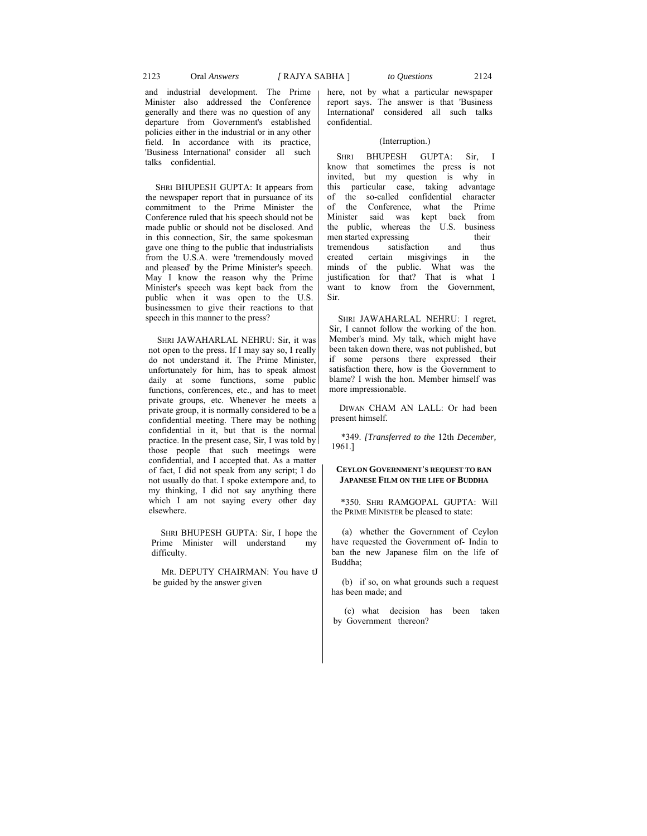## 2123 Oral *Answers [* RAJYA SABHA ] *to Questions* 2124

and industrial development. The Prime Minister also addressed the Conference generally and there was no question of any departure from Government's established policies either in the industrial or in any other field. In accordance with its practice, 'Business International' consider all such talks confidential.

SHRI BHUPESH GUPTA: It appears from the newspaper report that in pursuance of its commitment to the Prime Minister the Conference ruled that his speech should not be made public or should not be disclosed. And in this connection, Sir, the same spokesman gave one thing to the public that industrialists from the U.S.A. were 'tremendously moved and pleased' by the Prime Minister's speech. May I know the reason why the Prime Minister's speech was kept back from the public when it was open to the U.S. businessmen to give their reactions to that speech in this manner to the press?

SHRI JAWAHARLAL NEHRU: Sir, it was not open to the press. If I may say so, I really do not understand it. The Prime Minister, unfortunately for him, has to speak almost daily at some functions, some public functions, conferences, etc., and has to meet private groups, etc. Whenever he meets a private group, it is normally considered to be a confidential meeting. There may be nothing confidential in it, but that is the normal practice. In the present case, Sir, I was told by those people that such meetings were confidential, and I accepted that. As a matter of fact, I did not speak from any script; I do not usually do that. I spoke extempore and, to my thinking, I did not say anything there which I am not saying every other day elsewhere.

SHRI BHUPESH GUPTA: Sir, I hope the Prime Minister will understand my difficulty.

MR. DEPUTY CHAIRMAN: You have tJ be guided by the answer given

here, not by what a particular newspaper report says. The answer is that 'Business International' considered all such talks confidential.

## (Interruption.)

SHRI BHUPESH GUPTA: Sir, I know that sometimes the press is not invited, but my question is why in this particular case, taking advantage of the so-called confidential character of the Conference, what the Prime Minister said was kept back from the public, whereas the U.S. business men started expressing their tremendous satisfaction and thus created certain misgivings in the minds of the public. What was the justification for that? That is what I want to know from the Government, Sir.

SHRI JAWAHARLAL NEHRU: I regret, Sir, I cannot follow the working of the hon. Member's mind. My talk, which might have been taken down there, was not published, but if some persons there expressed their satisfaction there, how is the Government to blame? I wish the hon. Member himself was more impressionable.

DIWAN CHAM AN LALL: Or had been present himself.

\*349. *[Transferred to the* 12th *December,*  1961.]

## **CEYLON GOVERNMENT'S REQUEST TO BAN JAPANESE FILM ON THE LIFE OF BUDDHA**

\*350. SHRI RAMGOPAL GUPTA: Will the PRIME MINISTER be pleased to state:

(a) whether the Government of Ceylon have requested the Government of- India to ban the new Japanese film on the life of Buddha;

(b) if so, on what grounds such a request has been made; and

(c) what decision has been taken by Government thereon?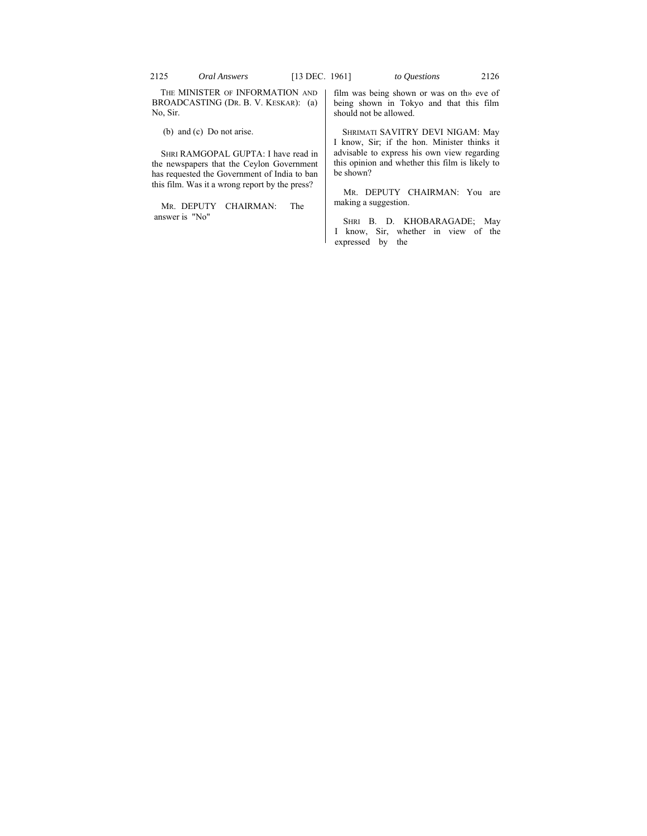THE MINISTER OF INFORMATION AND BROADCASTING (DR. B. V. KESKAR): (a) No, Sir.

(b) and (c) Do not arise.

SHRI RAMGOPAL GUPTA: I have read in the newspapers that the Ceylon Government has requested the Government of India to ban this film. Was it a wrong report by the press?

MR. DEPUTY CHAIRMAN: The answer is "No"

film was being shown or was on th» eve of being shown in Tokyo and that this film should not be allowed.

SHRIMATI SAVITRY DEVI NIGAM: May I know, Sir; if the hon. Minister thinks it advisable to express his own view regarding this opinion and whether this film is likely to be shown?

MR. DEPUTY CHAIRMAN: You are making a suggestion.

SHRI B. D. KHOBARAGADE; May I know, Sir, whether in view of the expressed by the